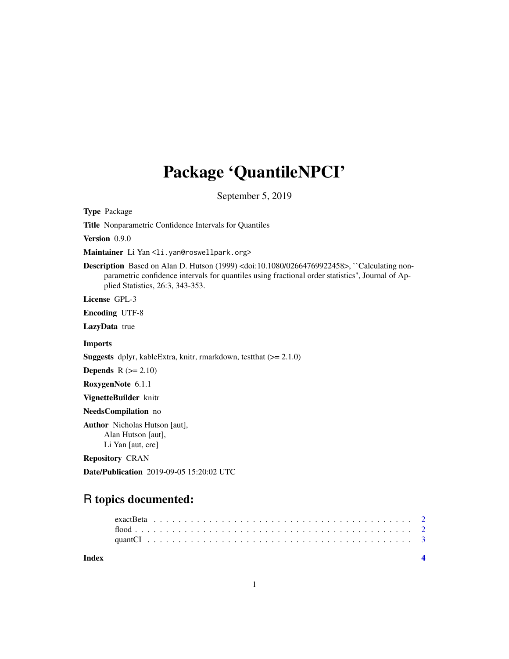## Package 'QuantileNPCI'

September 5, 2019

Type Package

Title Nonparametric Confidence Intervals for Quantiles

Version 0.9.0

Maintainer Li Yan <li.yan@roswellpark.org>

Description Based on Alan D. Hutson (1999) <doi:10.1080/02664769922458>, ``Calculating nonparametric confidence intervals for quantiles using fractional order statistics'', Journal of Applied Statistics, 26:3, 343-353.

License GPL-3

Encoding UTF-8

LazyData true

Imports

Suggests dplyr, kableExtra, knitr, rmarkdown, testthat (>= 2.1.0)

**Depends**  $R$  ( $>= 2.10$ )

RoxygenNote 6.1.1

VignetteBuilder knitr

NeedsCompilation no

Author Nicholas Hutson [aut], Alan Hutson [aut], Li Yan [aut, cre]

Repository CRAN

Date/Publication 2019-09-05 15:20:02 UTC

### R topics documented:

**Index** [4](#page-3-0)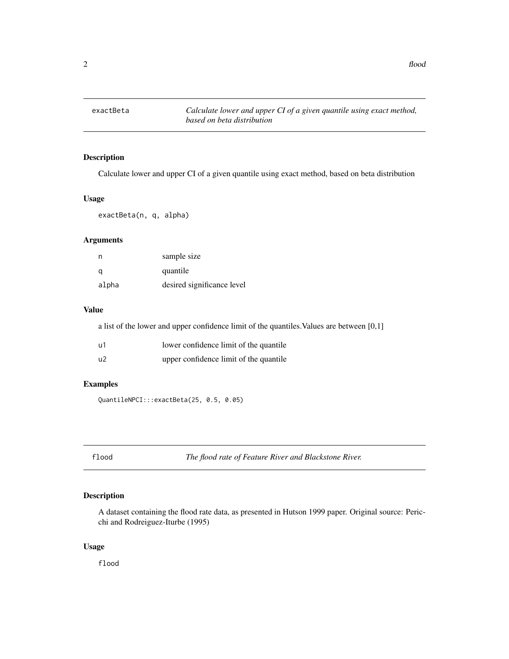<span id="page-1-0"></span>

#### Description

Calculate lower and upper CI of a given quantile using exact method, based on beta distribution

#### Usage

exactBeta(n, q, alpha)

#### Arguments

| n     | sample size                |
|-------|----------------------------|
| q     | quantile                   |
| alpha | desired significance level |

#### Value

a list of the lower and upper confidence limit of the quantiles.Values are between [0,1]

| u1 | lower confidence limit of the quantile. |
|----|-----------------------------------------|
| u2 | upper confidence limit of the quantile  |

#### Examples

QuantileNPCI:::exactBeta(25, 0.5, 0.05)

flood *The flood rate of Feature River and Blackstone River.*

#### Description

A dataset containing the flood rate data, as presented in Hutson 1999 paper. Original source: Pericchi and Rodreiguez-Iturbe (1995)

#### Usage

flood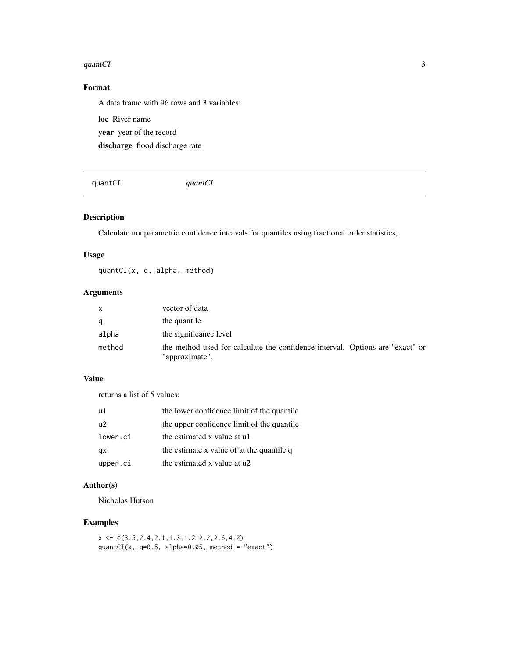#### <span id="page-2-0"></span>quantCI 3

#### Format

A data frame with 96 rows and 3 variables:

loc River name year year of the record discharge flood discharge rate

quantCI *quantCI*

#### Description

Calculate nonparametric confidence intervals for quantiles using fractional order statistics,

#### Usage

quantCI(x, q, alpha, method)

#### Arguments

| X      | vector of data                                                                                  |
|--------|-------------------------------------------------------------------------------------------------|
| q      | the quantile                                                                                    |
| alpha  | the significance level                                                                          |
| method | the method used for calculate the confidence interval. Options are "exact" or<br>"approximate". |

#### Value

returns a list of 5 values:

| u1             | the lower confidence limit of the quantile |
|----------------|--------------------------------------------|
| u <sup>2</sup> | the upper confidence limit of the quantile |
| lower.ci       | the estimated x value at u1                |
| qx             | the estimate x value of at the quantile q  |
| upper.ci       | the estimated x value at u2                |

#### Author(s)

Nicholas Hutson

#### Examples

 $x \leftarrow c(3.5, 2.4, 2.1, 1.3, 1.2, 2.2, 2.6, 4.2)$ quantCI(x,  $q=0.5$ , alpha=0.05, method = "exact")